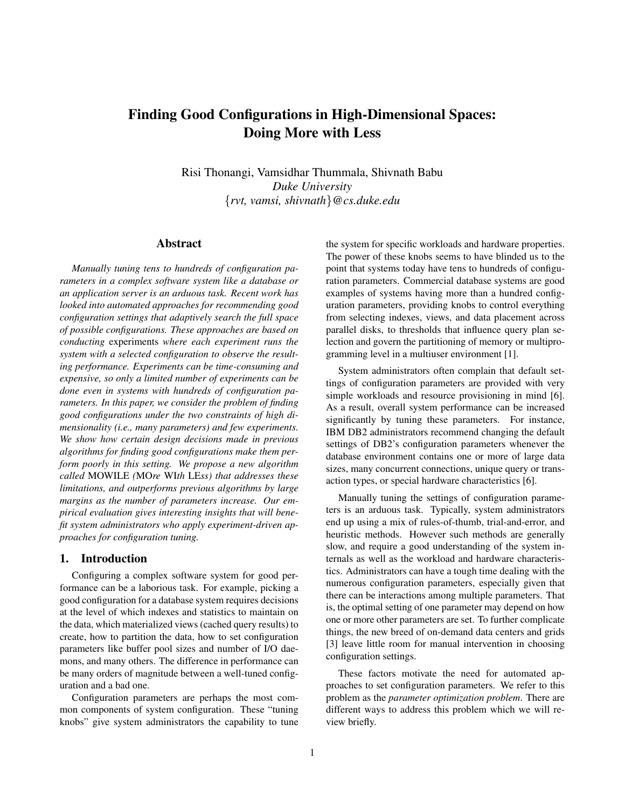# Finding Good Configurations in High-Dimensional Spaces: Doing More with Less

Risi Thonangi, Vamsidhar Thummala, Shivnath Babu *Duke University* {*rvt, vamsi, shivnath*}*@cs.duke.edu*

## Abstract

*Manually tuning tens to hundreds of configuration parameters in a complex software system like a database or an application server is an arduous task. Recent work has looked into automated approaches for recommending good configuration settings that adaptively search the full space of possible configurations. These approaches are based on conducting* experiments *where each experiment runs the system with a selected configuration to observe the resulting performance. Experiments can be time-consuming and expensive, so only a limited number of experiments can be done even in systems with hundreds of configuration parameters. In this paper, we consider the problem of finding good configurations under the two constraints of high dimensionality (i.e., many parameters) and few experiments. We show how certain design decisions made in previous algorithms for finding good configurations make them perform poorly in this setting. We propose a new algorithm called* MOWILE *(*MO*re* WI*th* LE*ss) that addresses these limitations, and outperforms previous algorithms by large margins as the number of parameters increase. Our empirical evaluation gives interesting insights that will benefit system administrators who apply experiment-driven approaches for configuration tuning.*

## 1. Introduction

Configuring a complex software system for good performance can be a laborious task. For example, picking a good configuration for a database system requires decisions at the level of which indexes and statistics to maintain on the data, which materialized views (cached query results) to create, how to partition the data, how to set configuration parameters like buffer pool sizes and number of I/O daemons, and many others. The difference in performance can be many orders of magnitude between a well-tuned configuration and a bad one.

Configuration parameters are perhaps the most common components of system configuration. These "tuning knobs" give system administrators the capability to tune the system for specific workloads and hardware properties. The power of these knobs seems to have blinded us to the point that systems today have tens to hundreds of configuration parameters. Commercial database systems are good examples of systems having more than a hundred configuration parameters, providing knobs to control everything from selecting indexes, views, and data placement across parallel disks, to thresholds that influence query plan selection and govern the partitioning of memory or multiprogramming level in a multiuser environment [1].

System administrators often complain that default settings of configuration parameters are provided with very simple workloads and resource provisioning in mind [6]. As a result, overall system performance can be increased significantly by tuning these parameters. For instance, IBM DB2 administrators recommend changing the default settings of DB2's configuration parameters whenever the database environment contains one or more of large data sizes, many concurrent connections, unique query or transaction types, or special hardware characteristics [6].

Manually tuning the settings of configuration parameters is an arduous task. Typically, system administrators end up using a mix of rules-of-thumb, trial-and-error, and heuristic methods. However such methods are generally slow, and require a good understanding of the system internals as well as the workload and hardware characteristics. Administrators can have a tough time dealing with the numerous configuration parameters, especially given that there can be interactions among multiple parameters. That is, the optimal setting of one parameter may depend on how one or more other parameters are set. To further complicate things, the new breed of on-demand data centers and grids [3] leave little room for manual intervention in choosing configuration settings.

These factors motivate the need for automated approaches to set configuration parameters. We refer to this problem as the *parameter optimization problem*. There are different ways to address this problem which we will review briefly.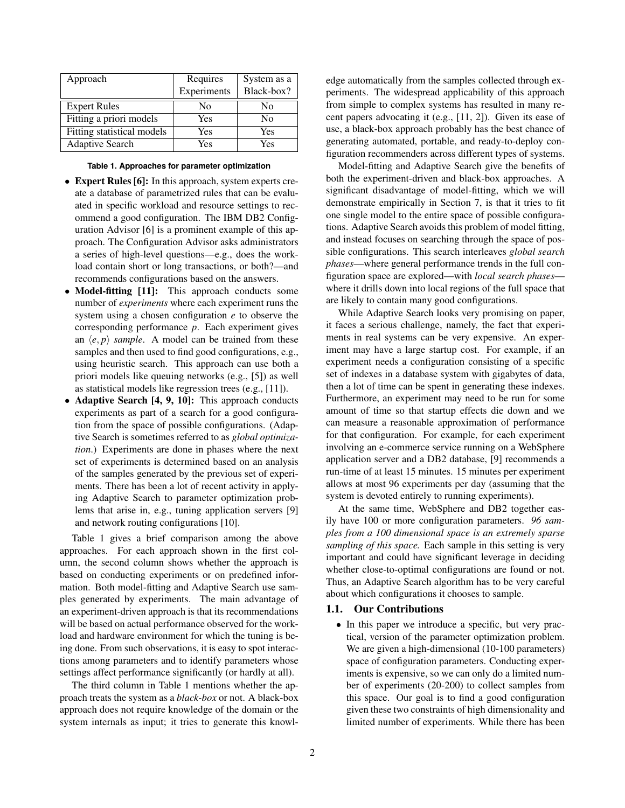| Approach                   | Requires    | System as a |
|----------------------------|-------------|-------------|
|                            | Experiments | Black-box?  |
| <b>Expert Rules</b>        | No          | No          |
| Fitting a priori models    | Yes         | No          |
| Fitting statistical models | Yes         | Yes         |
| <b>Adaptive Search</b>     | Yes         | Yes         |

#### **Table 1. Approaches for parameter optimization**

- Expert Rules [6]: In this approach, system experts create a database of parametrized rules that can be evaluated in specific workload and resource settings to recommend a good configuration. The IBM DB2 Configuration Advisor [6] is a prominent example of this approach. The Configuration Advisor asks administrators a series of high-level questions—e.g., does the workload contain short or long transactions, or both?—and recommends configurations based on the answers.
- Model-fitting [11]: This approach conducts some number of *experiments* where each experiment runs the system using a chosen configuration *e* to observe the corresponding performance *p*. Each experiment gives an  $\langle e, p \rangle$  *sample*. A model can be trained from these samples and then used to find good configurations, e.g., using heuristic search. This approach can use both a priori models like queuing networks (e.g., [5]) as well as statistical models like regression trees (e.g., [11]).
- Adaptive Search [4, 9, 10]: This approach conducts experiments as part of a search for a good configuration from the space of possible configurations. (Adaptive Search is sometimes referred to as *global optimization*.) Experiments are done in phases where the next set of experiments is determined based on an analysis of the samples generated by the previous set of experiments. There has been a lot of recent activity in applying Adaptive Search to parameter optimization problems that arise in, e.g., tuning application servers [9] and network routing configurations [10].

Table 1 gives a brief comparison among the above approaches. For each approach shown in the first column, the second column shows whether the approach is based on conducting experiments or on predefined information. Both model-fitting and Adaptive Search use samples generated by experiments. The main advantage of an experiment-driven approach is that its recommendations will be based on actual performance observed for the workload and hardware environment for which the tuning is being done. From such observations, it is easy to spot interactions among parameters and to identify parameters whose settings affect performance significantly (or hardly at all).

The third column in Table 1 mentions whether the approach treats the system as a *black-box* or not. A black-box approach does not require knowledge of the domain or the system internals as input; it tries to generate this knowledge automatically from the samples collected through experiments. The widespread applicability of this approach from simple to complex systems has resulted in many recent papers advocating it (e.g., [11, 2]). Given its ease of use, a black-box approach probably has the best chance of generating automated, portable, and ready-to-deploy configuration recommenders across different types of systems.

Model-fitting and Adaptive Search give the benefits of both the experiment-driven and black-box approaches. A significant disadvantage of model-fitting, which we will demonstrate empirically in Section 7, is that it tries to fit one single model to the entire space of possible configurations. Adaptive Search avoids this problem of model fitting, and instead focuses on searching through the space of possible configurations. This search interleaves *global search phases*—where general performance trends in the full configuration space are explored—with *local search phases* where it drills down into local regions of the full space that are likely to contain many good configurations.

While Adaptive Search looks very promising on paper, it faces a serious challenge, namely, the fact that experiments in real systems can be very expensive. An experiment may have a large startup cost. For example, if an experiment needs a configuration consisting of a specific set of indexes in a database system with gigabytes of data, then a lot of time can be spent in generating these indexes. Furthermore, an experiment may need to be run for some amount of time so that startup effects die down and we can measure a reasonable approximation of performance for that configuration. For example, for each experiment involving an e-commerce service running on a WebSphere application server and a DB2 database, [9] recommends a run-time of at least 15 minutes. 15 minutes per experiment allows at most 96 experiments per day (assuming that the system is devoted entirely to running experiments).

At the same time, WebSphere and DB2 together easily have 100 or more configuration parameters. *96 samples from a 100 dimensional space is an extremely sparse sampling of this space.* Each sample in this setting is very important and could have significant leverage in deciding whether close-to-optimal configurations are found or not. Thus, an Adaptive Search algorithm has to be very careful about which configurations it chooses to sample.

#### 1.1. Our Contributions

• In this paper we introduce a specific, but very practical, version of the parameter optimization problem. We are given a high-dimensional (10-100 parameters) space of configuration parameters. Conducting experiments is expensive, so we can only do a limited number of experiments (20-200) to collect samples from this space. Our goal is to find a good configuration given these two constraints of high dimensionality and limited number of experiments. While there has been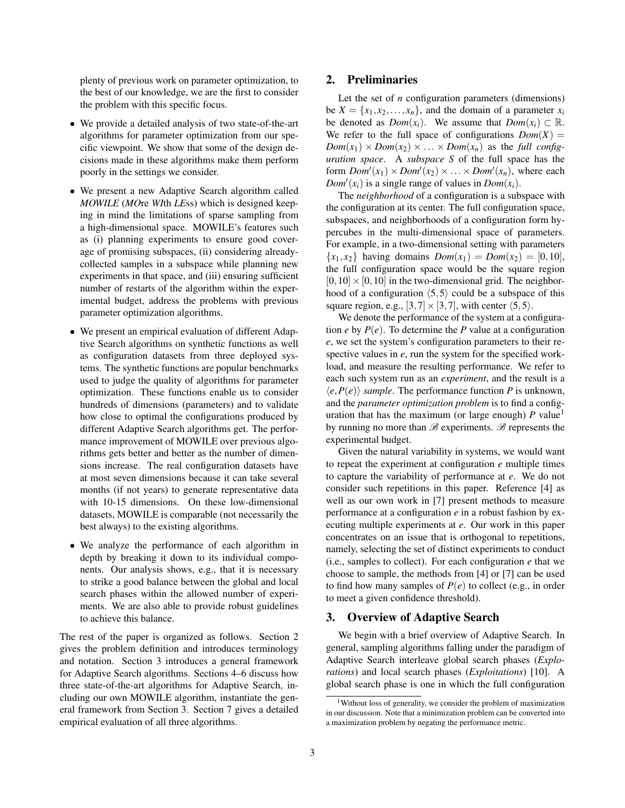plenty of previous work on parameter optimization, to the best of our knowledge, we are the first to consider the problem with this specific focus.

- We provide a detailed analysis of two state-of-the-art algorithms for parameter optimization from our specific viewpoint. We show that some of the design decisions made in these algorithms make them perform poorly in the settings we consider.
- We present a new Adaptive Search algorithm called *MOWILE* (*MO*re *WI*th *LE*ss) which is designed keeping in mind the limitations of sparse sampling from a high-dimensional space. MOWILE's features such as (i) planning experiments to ensure good coverage of promising subspaces, (ii) considering alreadycollected samples in a subspace while planning new experiments in that space, and (iii) ensuring sufficient number of restarts of the algorithm within the experimental budget, address the problems with previous parameter optimization algorithms.
- We present an empirical evaluation of different Adaptive Search algorithms on synthetic functions as well as configuration datasets from three deployed systems. The synthetic functions are popular benchmarks used to judge the quality of algorithms for parameter optimization. These functions enable us to consider hundreds of dimensions (parameters) and to validate how close to optimal the configurations produced by different Adaptive Search algorithms get. The performance improvement of MOWILE over previous algorithms gets better and better as the number of dimensions increase. The real configuration datasets have at most seven dimensions because it can take several months (if not years) to generate representative data with 10-15 dimensions. On these low-dimensional datasets, MOWILE is comparable (not necessarily the best always) to the existing algorithms.
- We analyze the performance of each algorithm in depth by breaking it down to its individual components. Our analysis shows, e.g., that it is necessary to strike a good balance between the global and local search phases within the allowed number of experiments. We are also able to provide robust guidelines to achieve this balance.

The rest of the paper is organized as follows. Section 2 gives the problem definition and introduces terminology and notation. Section 3 introduces a general framework for Adaptive Search algorithms. Sections 4–6 discuss how three state-of-the-art algorithms for Adaptive Search, including our own MOWILE algorithm, instantiate the general framework from Section 3. Section 7 gives a detailed empirical evaluation of all three algorithms.

## 2. Preliminaries

Let the set of  $n$  configuration parameters (dimensions) be  $X = \{x_1, x_2, \ldots, x_n\}$ , and the domain of a parameter  $x_i$ be denoted as  $Dom(x_i)$ . We assume that  $Dom(x_i) \subset \mathbb{R}$ . We refer to the full space of configurations  $Dom(X)$  $Dom(x_1) \times Dom(x_2) \times \ldots \times Dom(x_n)$  as the *full configuration space*. A *subspace S* of the full space has the form  $Dom'(x_1) \times Dom'(x_2) \times ... \times Dom'(x_n)$ , where each  $Dom'(x_i)$  is a single range of values in  $Dom(x_i)$ .

The *neighborhood* of a configuration is a subspace with the configuration at its center. The full configuration space, subspaces, and neighborhoods of a configuration form hypercubes in the multi-dimensional space of parameters. For example, in a two-dimensional setting with parameters  ${x_1, x_2}$  having domains  $Dom(x_1) = Dom(x_2) = [0, 10]$ , the full configuration space would be the square region  $[0,10] \times [0,10]$  in the two-dimensional grid. The neighborhood of a configuration  $\langle 5,5 \rangle$  could be a subspace of this square region, e.g.,  $[3,7] \times [3,7]$ , with center  $\langle 5,5 \rangle$ .

We denote the performance of the system at a configuration *e* by  $P(e)$ . To determine the *P* value at a configuration *e*, we set the system's configuration parameters to their respective values in *e*, run the system for the specified workload, and measure the resulting performance. We refer to each such system run as an *experiment*, and the result is a  $\langle e, P(e) \rangle$  *sample*. The performance function *P* is unknown, and the *parameter optimization problem* is to find a configuration that has the maximum (or large enough)  $P$  value<sup>1</sup> by running no more than  $\mathscr B$  experiments.  $\mathscr B$  represents the experimental budget.

Given the natural variability in systems, we would want to repeat the experiment at configuration *e* multiple times to capture the variability of performance at *e*. We do not consider such repetitions in this paper. Reference [4] as well as our own work in [7] present methods to measure performance at a configuration *e* in a robust fashion by executing multiple experiments at *e*. Our work in this paper concentrates on an issue that is orthogonal to repetitions, namely, selecting the set of distinct experiments to conduct (i.e., samples to collect). For each configuration *e* that we choose to sample, the methods from [4] or [7] can be used to find how many samples of  $P(e)$  to collect (e.g., in order to meet a given confidence threshold).

## 3. Overview of Adaptive Search

We begin with a brief overview of Adaptive Search. In general, sampling algorithms falling under the paradigm of Adaptive Search interleave global search phases (*Explorations*) and local search phases (*Exploitations*) [10]. A global search phase is one in which the full configuration

<sup>1</sup>Without loss of generality, we consider the problem of maximization in our discussion. Note that a minimization problem can be converted into a maximization problem by negating the performance metric.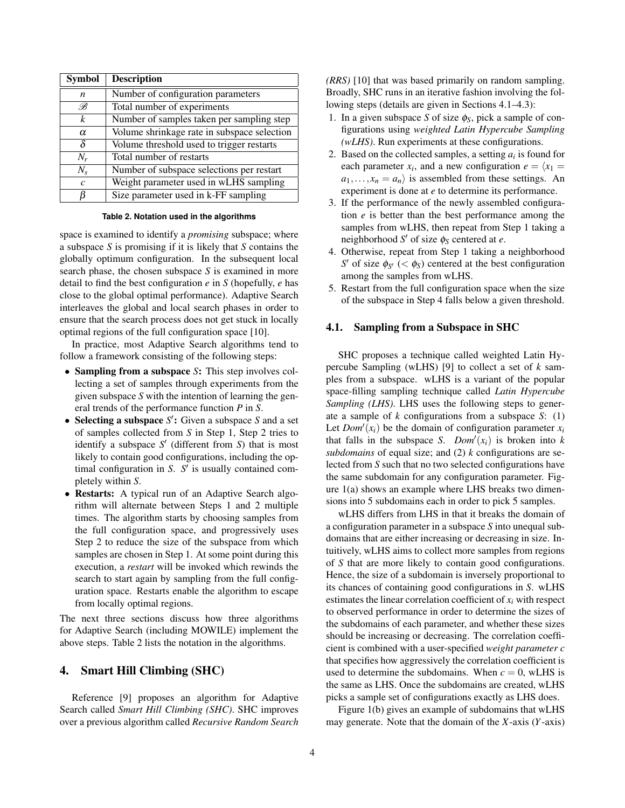| <b>Symbol</b> | <b>Description</b>                          |
|---------------|---------------------------------------------|
| n             | Number of configuration parameters          |
| B             | Total number of experiments                 |
| k             | Number of samples taken per sampling step   |
| $\alpha$      | Volume shrinkage rate in subspace selection |
| δ             | Volume threshold used to trigger restarts   |
| $N_r$         | Total number of restarts                    |
| $N_{s}$       | Number of subspace selections per restart   |
| $\mathcal{C}$ | Weight parameter used in wLHS sampling      |
|               | Size parameter used in k-FF sampling        |

**Table 2. Notation used in the algorithms**

space is examined to identify a *promising* subspace; where a subspace *S* is promising if it is likely that *S* contains the globally optimum configuration. In the subsequent local search phase, the chosen subspace *S* is examined in more detail to find the best configuration *e* in *S* (hopefully, *e* has close to the global optimal performance). Adaptive Search interleaves the global and local search phases in order to ensure that the search process does not get stuck in locally optimal regions of the full configuration space [10].

In practice, most Adaptive Search algorithms tend to follow a framework consisting of the following steps:

- Sampling from a subspace *S*: This step involves collecting a set of samples through experiments from the given subspace *S* with the intention of learning the general trends of the performance function *P* in *S*.
- Selecting a subspace *S*<sup> $\prime$ </sup>: Given a subspace *S* and a set of samples collected from *S* in Step 1, Step 2 tries to identify a subspace  $S'$  (different from  $S$ ) that is most likely to contain good configurations, including the optimal configuration in  $S$ .  $S'$  is usually contained completely within *S*.
- Restarts: A typical run of an Adaptive Search algorithm will alternate between Steps 1 and 2 multiple times. The algorithm starts by choosing samples from the full configuration space, and progressively uses Step 2 to reduce the size of the subspace from which samples are chosen in Step 1. At some point during this execution, a *restart* will be invoked which rewinds the search to start again by sampling from the full configuration space. Restarts enable the algorithm to escape from locally optimal regions.

The next three sections discuss how three algorithms for Adaptive Search (including MOWILE) implement the above steps. Table 2 lists the notation in the algorithms.

## 4. Smart Hill Climbing (SHC)

Reference [9] proposes an algorithm for Adaptive Search called *Smart Hill Climbing (SHC)*. SHC improves over a previous algorithm called *Recursive Random Search* *(RRS)* [10] that was based primarily on random sampling. Broadly, SHC runs in an iterative fashion involving the following steps (details are given in Sections 4.1–4.3):

- 1. In a given subspace *S* of size  $\phi_S$ , pick a sample of configurations using *weighted Latin Hypercube Sampling (wLHS)*. Run experiments at these configurations.
- 2. Based on the collected samples, a setting  $a_i$  is found for each parameter  $x_i$ , and a new configuration  $e = \langle x_1 =$  $a_1, \ldots, x_n = a_n$  is assembled from these settings. An experiment is done at *e* to determine its performance.
- 3. If the performance of the newly assembled configuration *e* is better than the best performance among the samples from wLHS, then repeat from Step 1 taking a neighborhood  $S'$  of size  $\phi_S$  centered at *e*.
- 4. Otherwise, repeat from Step 1 taking a neighborhood *S*<sup> $\prime$ </sup> of size  $\phi_{S'}$  (<  $\phi_S$ ) centered at the best configuration among the samples from wLHS.
- 5. Restart from the full configuration space when the size of the subspace in Step 4 falls below a given threshold.

#### 4.1. Sampling from a Subspace in SHC

SHC proposes a technique called weighted Latin Hypercube Sampling (wLHS) [9] to collect a set of *k* samples from a subspace. wLHS is a variant of the popular space-filling sampling technique called *Latin Hypercube Sampling (LHS)*. LHS uses the following steps to generate a sample of *k* configurations from a subspace *S*: (1) Let *Dom'*( $x_i$ ) be the domain of configuration parameter  $x_i$ that falls in the subspace *S*. *Dom'* $(x_i)$  is broken into *k subdomains* of equal size; and (2) *k* configurations are selected from *S* such that no two selected configurations have the same subdomain for any configuration parameter. Figure 1(a) shows an example where LHS breaks two dimensions into 5 subdomains each in order to pick 5 samples.

wLHS differs from LHS in that it breaks the domain of a configuration parameter in a subspace *S* into unequal subdomains that are either increasing or decreasing in size. Intuitively, wLHS aims to collect more samples from regions of *S* that are more likely to contain good configurations. Hence, the size of a subdomain is inversely proportional to its chances of containing good configurations in *S*. wLHS estimates the linear correlation coefficient of  $x_i$  with respect to observed performance in order to determine the sizes of the subdomains of each parameter, and whether these sizes should be increasing or decreasing. The correlation coefficient is combined with a user-specified *weight parameter c* that specifies how aggressively the correlation coefficient is used to determine the subdomains. When  $c = 0$ , wLHS is the same as LHS. Once the subdomains are created, wLHS picks a sample set of configurations exactly as LHS does.

Figure 1(b) gives an example of subdomains that wLHS may generate. Note that the domain of the *X*-axis (*Y*-axis)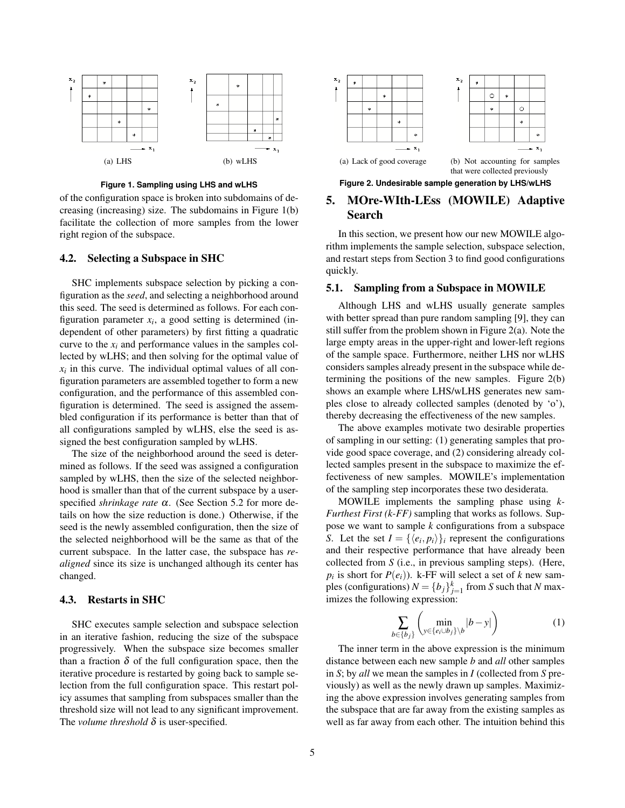

**Figure 1. Sampling using LHS and wLHS**

of the configuration space is broken into subdomains of decreasing (increasing) size. The subdomains in Figure 1(b) facilitate the collection of more samples from the lower right region of the subspace.

#### 4.2. Selecting a Subspace in SHC

SHC implements subspace selection by picking a configuration as the *seed*, and selecting a neighborhood around this seed. The seed is determined as follows. For each configuration parameter  $x_i$ , a good setting is determined (independent of other parameters) by first fitting a quadratic curve to the  $x_i$  and performance values in the samples collected by wLHS; and then solving for the optimal value of  $x_i$  in this curve. The individual optimal values of all configuration parameters are assembled together to form a new configuration, and the performance of this assembled configuration is determined. The seed is assigned the assembled configuration if its performance is better than that of all configurations sampled by wLHS, else the seed is assigned the best configuration sampled by wLHS.

The size of the neighborhood around the seed is determined as follows. If the seed was assigned a configuration sampled by wLHS, then the size of the selected neighborhood is smaller than that of the current subspace by a userspecified *shrinkage rate* α. (See Section 5.2 for more details on how the size reduction is done.) Otherwise, if the seed is the newly assembled configuration, then the size of the selected neighborhood will be the same as that of the current subspace. In the latter case, the subspace has *realigned* since its size is unchanged although its center has changed.

## 4.3. Restarts in SHC

SHC executes sample selection and subspace selection in an iterative fashion, reducing the size of the subspace progressively. When the subspace size becomes smaller than a fraction  $\delta$  of the full configuration space, then the iterative procedure is restarted by going back to sample selection from the full configuration space. This restart policy assumes that sampling from subspaces smaller than the threshold size will not lead to any significant improvement. The *volume threshold*  $\delta$  is user-specified.



**Figure 2. Undesirable sample generation by LHS/wLHS**

## 5. MOre-WIth-LEss (MOWILE) Adaptive Search

In this section, we present how our new MOWILE algorithm implements the sample selection, subspace selection, and restart steps from Section 3 to find good configurations quickly.

#### 5.1. Sampling from a Subspace in MOWILE

Although LHS and wLHS usually generate samples with better spread than pure random sampling [9], they can still suffer from the problem shown in Figure 2(a). Note the large empty areas in the upper-right and lower-left regions of the sample space. Furthermore, neither LHS nor wLHS considers samples already present in the subspace while determining the positions of the new samples. Figure 2(b) shows an example where LHS/wLHS generates new samples close to already collected samples (denoted by 'o'), thereby decreasing the effectiveness of the new samples.

The above examples motivate two desirable properties of sampling in our setting: (1) generating samples that provide good space coverage, and (2) considering already collected samples present in the subspace to maximize the effectiveness of new samples. MOWILE's implementation of the sampling step incorporates these two desiderata.

MOWILE implements the sampling phase using *k-Furthest First (k-FF)* sampling that works as follows. Suppose we want to sample *k* configurations from a subspace *S*. Let the set  $I = \{\langle e_i, p_i \rangle\}$  represent the configurations and their respective performance that have already been collected from *S* (i.e., in previous sampling steps). (Here,  $p_i$  is short for  $P(e_i)$ ). k-FF will select a set of *k* new samples (configurations)  $N = \{b_j\}_{j=1}^k$  from *S* such that *N* maximizes the following expression:

$$
\sum_{b \in \{b_j\}} \left( \min_{y \in \{e_i \cup b_j\} \setminus b} |b - y| \right) \tag{1}
$$

The inner term in the above expression is the minimum distance between each new sample *b* and *all* other samples in *S*; by *all* we mean the samples in *I* (collected from *S* previously) as well as the newly drawn up samples. Maximizing the above expression involves generating samples from the subspace that are far away from the existing samples as well as far away from each other. The intuition behind this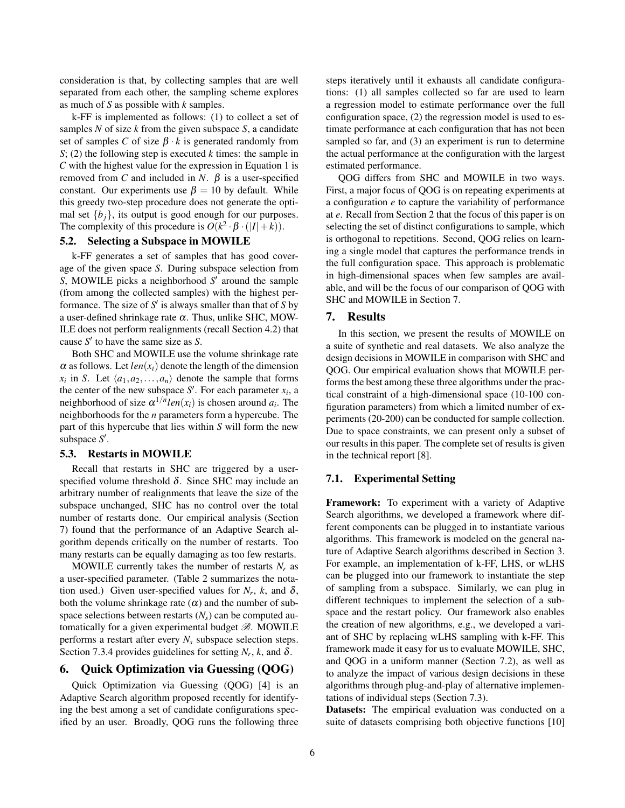consideration is that, by collecting samples that are well separated from each other, the sampling scheme explores as much of *S* as possible with *k* samples.

k-FF is implemented as follows: (1) to collect a set of samples *N* of size *k* from the given subspace *S*, a candidate set of samples *C* of size  $\beta \cdot k$  is generated randomly from *S*; (2) the following step is executed *k* times: the sample in *C* with the highest value for the expression in Equation 1 is removed from *C* and included in *N*.  $β$  is a user-specified constant. Our experiments use  $\beta = 10$  by default. While this greedy two-step procedure does not generate the optimal set  ${b_i}$ , its output is good enough for our purposes. The complexity of this procedure is  $O(k^2 \cdot \beta \cdot (|I| + k)).$ 

## 5.2. Selecting a Subspace in MOWILE

k-FF generates a set of samples that has good coverage of the given space *S*. During subspace selection from S, MOWILE picks a neighborhood S' around the sample (from among the collected samples) with the highest performance. The size of S' is always smaller than that of S by a user-defined shrinkage rate  $\alpha$ . Thus, unlike SHC, MOW-ILE does not perform realignments (recall Section 4.2) that cause  $S'$  to have the same size as  $S$ .

Both SHC and MOWILE use the volume shrinkage rate  $\alpha$  as follows. Let *len*( $x_i$ ) denote the length of the dimension  $x_i$  in *S*. Let  $\langle a_1, a_2, \ldots, a_n \rangle$  denote the sample that forms the center of the new subspace  $S'$ . For each parameter  $x_i$ , a neighborhood of size  $\alpha^{1/n}$ *len*( $x_i$ ) is chosen around  $a_i$ . The neighborhoods for the *n* parameters form a hypercube. The part of this hypercube that lies within *S* will form the new subspace S'.

#### 5.3. Restarts in MOWILE

Recall that restarts in SHC are triggered by a userspecified volume threshold  $\delta$ . Since SHC may include an arbitrary number of realignments that leave the size of the subspace unchanged, SHC has no control over the total number of restarts done. Our empirical analysis (Section 7) found that the performance of an Adaptive Search algorithm depends critically on the number of restarts. Too many restarts can be equally damaging as too few restarts.

MOWILE currently takes the number of restarts  $N_r$  as a user-specified parameter. (Table 2 summarizes the notation used.) Given user-specified values for  $N_r$ ,  $k$ , and  $\delta$ , both the volume shrinkage rate  $(\alpha)$  and the number of subspace selections between restarts  $(N_s)$  can be computed automatically for a given experimental budget  $\mathscr{B}$ . MOWILE performs a restart after every *N<sup>s</sup>* subspace selection steps. Section 7.3.4 provides guidelines for setting  $N_r$ ,  $k$ , and  $\delta$ .

## 6. Quick Optimization via Guessing (QOG)

Quick Optimization via Guessing (QOG) [4] is an Adaptive Search algorithm proposed recently for identifying the best among a set of candidate configurations specified by an user. Broadly, QOG runs the following three

steps iteratively until it exhausts all candidate configurations: (1) all samples collected so far are used to learn a regression model to estimate performance over the full configuration space, (2) the regression model is used to estimate performance at each configuration that has not been sampled so far, and (3) an experiment is run to determine the actual performance at the configuration with the largest estimated performance.

QOG differs from SHC and MOWILE in two ways. First, a major focus of QOG is on repeating experiments at a configuration *e* to capture the variability of performance at *e*. Recall from Section 2 that the focus of this paper is on selecting the set of distinct configurations to sample, which is orthogonal to repetitions. Second, QOG relies on learning a single model that captures the performance trends in the full configuration space. This approach is problematic in high-dimensional spaces when few samples are available, and will be the focus of our comparison of QOG with SHC and MOWILE in Section 7.

#### 7. Results

In this section, we present the results of MOWILE on a suite of synthetic and real datasets. We also analyze the design decisions in MOWILE in comparison with SHC and QOG. Our empirical evaluation shows that MOWILE performs the best among these three algorithms under the practical constraint of a high-dimensional space (10-100 configuration parameters) from which a limited number of experiments (20-200) can be conducted for sample collection. Due to space constraints, we can present only a subset of our results in this paper. The complete set of results is given in the technical report [8].

#### 7.1. Experimental Setting

Framework: To experiment with a variety of Adaptive Search algorithms, we developed a framework where different components can be plugged in to instantiate various algorithms. This framework is modeled on the general nature of Adaptive Search algorithms described in Section 3. For example, an implementation of k-FF, LHS, or wLHS can be plugged into our framework to instantiate the step of sampling from a subspace. Similarly, we can plug in different techniques to implement the selection of a subspace and the restart policy. Our framework also enables the creation of new algorithms, e.g., we developed a variant of SHC by replacing wLHS sampling with k-FF. This framework made it easy for us to evaluate MOWILE, SHC, and QOG in a uniform manner (Section 7.2), as well as to analyze the impact of various design decisions in these algorithms through plug-and-play of alternative implementations of individual steps (Section 7.3).

Datasets: The empirical evaluation was conducted on a suite of datasets comprising both objective functions [10]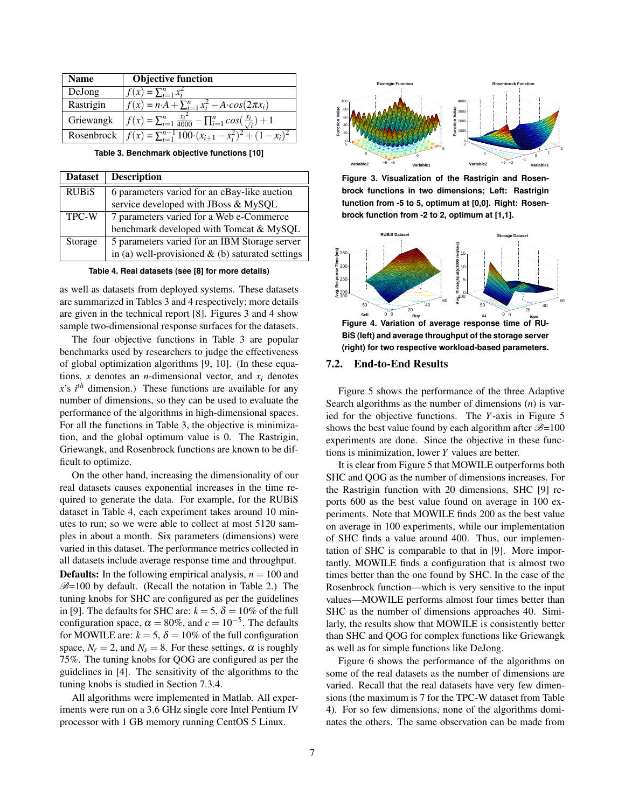| <b>Name</b> | <b>Objective function</b>                                                                  |
|-------------|--------------------------------------------------------------------------------------------|
| DeJong      | $f(x) = \sum_{i=1}^{n} x_i^2$                                                              |
| Rastrigin   | $f(x) = n \cdot A + \sum_{i=1}^{n} x_i^2 - A \cdot cos(2\pi x_i)$                          |
| Griewangk   | $f(x) = \sum_{i=1}^{n} \frac{x_i^2}{4000} - \prod_{i=1}^{n} cos(\frac{x_i}{\sqrt{i}}) + 1$ |
|             | Rosenbrock $f(x) = \sum_{i=1}^{n-1} 100 \cdot (x_{i+1} - x_i^2)^2 + (1 - x_i)^2$           |

**Table 3. Benchmark objective functions [10]**

| <b>Dataset</b> | <b>Description</b>                                  |
|----------------|-----------------------------------------------------|
| <b>RUBiS</b>   | 6 parameters varied for an eBay-like auction        |
|                | service developed with JBoss & MySQL                |
| TPC-W          | 7 parameters varied for a Web e-Commerce            |
|                | benchmark developed with Tomcat & MySQL             |
| Storage        | 5 parameters varied for an IBM Storage server       |
|                | in (a) well-provisioned $\&$ (b) saturated settings |

**Table 4. Real datasets (see [8] for more details)**

as well as datasets from deployed systems. These datasets are summarized in Tables 3 and 4 respectively; more details are given in the technical report [8]. Figures 3 and 4 show sample two-dimensional response surfaces for the datasets.

The four objective functions in Table 3 are popular benchmarks used by researchers to judge the effectiveness of global optimization algorithms [9, 10]. (In these equations, *x* denotes an *n*-dimensional vector, and  $x_i$  denotes  $x$ 's  $i$ <sup>th</sup> dimension.) These functions are available for any number of dimensions, so they can be used to evaluate the performance of the algorithms in high-dimensional spaces. For all the functions in Table 3, the objective is minimization, and the global optimum value is 0. The Rastrigin, Griewangk, and Rosenbrock functions are known to be difficult to optimize.

On the other hand, increasing the dimensionality of our real datasets causes exponential increases in the time required to generate the data. For example, for the RUBiS dataset in Table 4, each experiment takes around 10 minutes to run; so we were able to collect at most 5120 samples in about a month. Six parameters (dimensions) were varied in this dataset. The performance metrics collected in all datasets include average response time and throughput. **Defaults:** In the following empirical analysis,  $n = 100$  and  $\mathscr{B}$ =100 by default. (Recall the notation in Table 2.) The tuning knobs for SHC are configured as per the guidelines in [9]. The defaults for SHC are:  $k = 5$ ,  $\delta = 10\%$  of the full configuration space,  $\alpha = 80\%$ , and  $c = 10^{-5}$ . The defaults for MOWILE are:  $k = 5$ ,  $\delta = 10\%$  of the full configuration space,  $N_r = 2$ , and  $N_s = 8$ . For these settings,  $\alpha$  is roughly 75%. The tuning knobs for QOG are configured as per the guidelines in [4]. The sensitivity of the algorithms to the tuning knobs is studied in Section 7.3.4.

All algorithms were implemented in Matlab. All experiments were run on a 3.6 GHz single core Intel Pentium IV processor with 1 GB memory running CentOS 5 Linux.



**Figure 3. Visualization of the Rastrigin and Rosenbrock functions in two dimensions; Left: Rastrigin function from -5 to 5, optimum at [0,0]. Right: Rosenbrock function from -2 to 2, optimum at [1,1].**



**Figure 4. Variation of average response time of RU-BiS (left) and average throughput of the storage server (right) for two respective workload-based parameters.**

## 7.2. End-to-End Results

Figure 5 shows the performance of the three Adaptive Search algorithms as the number of dimensions (*n*) is varied for the objective functions. The *Y*-axis in Figure 5 shows the best value found by each algorithm after  $\mathcal{B}=100$ experiments are done. Since the objective in these functions is minimization, lower *Y* values are better.

It is clear from Figure 5 that MOWILE outperforms both SHC and QOG as the number of dimensions increases. For the Rastrigin function with 20 dimensions, SHC [9] reports 600 as the best value found on average in 100 experiments. Note that MOWILE finds 200 as the best value on average in 100 experiments, while our implementation of SHC finds a value around 400. Thus, our implementation of SHC is comparable to that in [9]. More importantly, MOWILE finds a configuration that is almost two times better than the one found by SHC. In the case of the Rosenbrock function—which is very sensitive to the input values—MOWILE performs almost four times better than SHC as the number of dimensions approaches 40. Similarly, the results show that MOWILE is consistently better than SHC and QOG for complex functions like Griewangk as well as for simple functions like DeJong.

Figure 6 shows the performance of the algorithms on some of the real datasets as the number of dimensions are varied. Recall that the real datasets have very few dimensions (the maximum is 7 for the TPC-W dataset from Table 4). For so few dimensions, none of the algorithms dominates the others. The same observation can be made from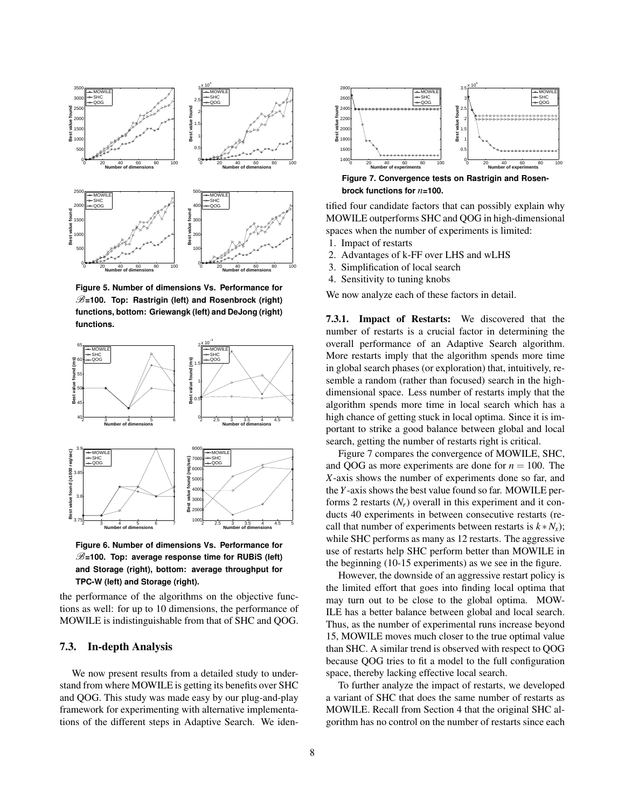

**Figure 5. Number of dimensions Vs. Performance for** B**=100. Top: Rastrigin (left) and Rosenbrock (right) functions, bottom: Griewangk (left) and DeJong (right) functions.**



**Figure 6. Number of dimensions Vs. Performance for** B**=100. Top: average response time for RUBiS (left) and Storage (right), bottom: average throughput for TPC-W (left) and Storage (right).**

the performance of the algorithms on the objective functions as well: for up to 10 dimensions, the performance of MOWILE is indistinguishable from that of SHC and QOG.

#### 7.3. In-depth Analysis

We now present results from a detailed study to understand from where MOWILE is getting its benefits over SHC and QOG. This study was made easy by our plug-and-play framework for experimenting with alternative implementations of the different steps in Adaptive Search. We iden-



**Figure 7. Convergence tests on Rastrigin and Rosenbrock functions for** *n***=100.**

tified four candidate factors that can possibly explain why MOWILE outperforms SHC and QOG in high-dimensional spaces when the number of experiments is limited:

- 1. Impact of restarts
- 2. Advantages of k-FF over LHS and wLHS
- 3. Simplification of local search
- 4. Sensitivity to tuning knobs

We now analyze each of these factors in detail.

7.3.1. Impact of Restarts: We discovered that the number of restarts is a crucial factor in determining the overall performance of an Adaptive Search algorithm. More restarts imply that the algorithm spends more time in global search phases (or exploration) that, intuitively, resemble a random (rather than focused) search in the highdimensional space. Less number of restarts imply that the algorithm spends more time in local search which has a high chance of getting stuck in local optima. Since it is important to strike a good balance between global and local search, getting the number of restarts right is critical.

Figure 7 compares the convergence of MOWILE, SHC, and QOG as more experiments are done for  $n = 100$ . The *X*-axis shows the number of experiments done so far, and the *Y*-axis shows the best value found so far. MOWILE performs 2 restarts  $(N_r)$  overall in this experiment and it conducts 40 experiments in between consecutive restarts (recall that number of experiments between restarts is  $k * N_s$ ; while SHC performs as many as 12 restarts. The aggressive use of restarts help SHC perform better than MOWILE in the beginning (10-15 experiments) as we see in the figure.

However, the downside of an aggressive restart policy is the limited effort that goes into finding local optima that may turn out to be close to the global optima. MOW-ILE has a better balance between global and local search. Thus, as the number of experimental runs increase beyond 15, MOWILE moves much closer to the true optimal value than SHC. A similar trend is observed with respect to QOG because QOG tries to fit a model to the full configuration space, thereby lacking effective local search.

To further analyze the impact of restarts, we developed a variant of SHC that does the same number of restarts as MOWILE. Recall from Section 4 that the original SHC algorithm has no control on the number of restarts since each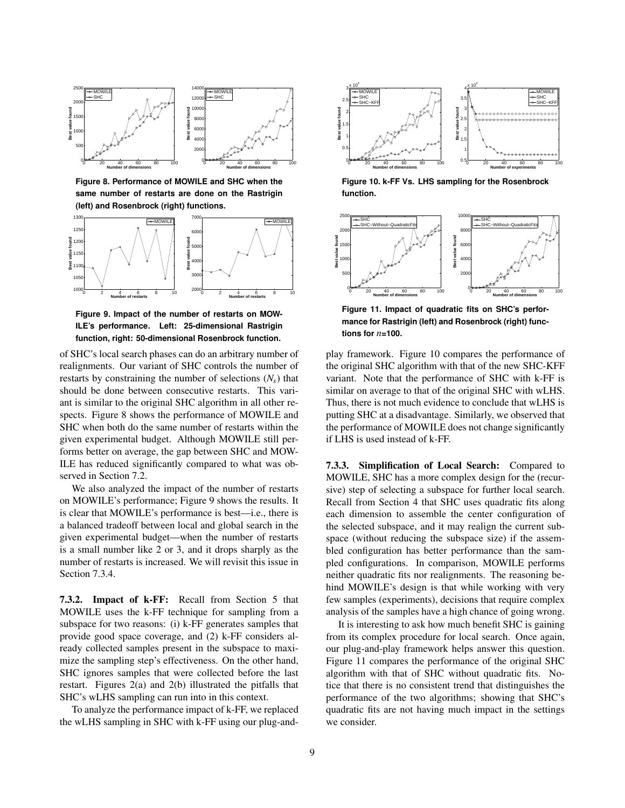

**Figure 8. Performance of MOWILE and SHC when the same number of restarts are done on the Rastrigin (left) and Rosenbrock (right) functions.**



**Figure 9. Impact of the number of restarts on MOW-ILE's performance. Left: 25-dimensional Rastrigin function, right: 50-dimensional Rosenbrock function.**

of SHC's local search phases can do an arbitrary number of realignments. Our variant of SHC controls the number of restarts by constraining the number of selections  $(N_s)$  that should be done between consecutive restarts. This variant is similar to the original SHC algorithm in all other respects. Figure 8 shows the performance of MOWILE and SHC when both do the same number of restarts within the given experimental budget. Although MOWILE still performs better on average, the gap between SHC and MOW-ILE has reduced significantly compared to what was observed in Section 7.2.

We also analyzed the impact of the number of restarts on MOWILE's performance; Figure 9 shows the results. It is clear that MOWILE's performance is best—i.e., there is a balanced tradeoff between local and global search in the given experimental budget—when the number of restarts is a small number like 2 or 3, and it drops sharply as the number of restarts is increased. We will revisit this issue in Section 7.3.4.

7.3.2. Impact of k-FF: Recall from Section 5 that MOWILE uses the k-FF technique for sampling from a subspace for two reasons: (i) k-FF generates samples that provide good space coverage, and (2) k-FF considers already collected samples present in the subspace to maximize the sampling step's effectiveness. On the other hand, SHC ignores samples that were collected before the last restart. Figures 2(a) and 2(b) illustrated the pitfalls that SHC's wLHS sampling can run into in this context.

To analyze the performance impact of k-FF, we replaced the wLHS sampling in SHC with k-FF using our plug-and-



**Figure 10. k-FF Vs. LHS sampling for the Rosenbrock function.**



**Figure 11. Impact of quadratic fits on SHC's performance for Rastrigin (left) and Rosenbrock (right) func**tions for  $n=100$ .

play framework. Figure 10 compares the performance of the original SHC algorithm with that of the new SHC-KFF variant. Note that the performance of SHC with k-FF is similar on average to that of the original SHC with wLHS. Thus, there is not much evidence to conclude that wLHS is putting SHC at a disadvantage. Similarly, we observed that the performance of MOWILE does not change significantly if LHS is used instead of k-FF.

7.3.3. Simplification of Local Search: Compared to MOWILE, SHC has a more complex design for the (recursive) step of selecting a subspace for further local search. Recall from Section 4 that SHC uses quadratic fits along each dimension to assemble the center configuration of the selected subspace, and it may realign the current subspace (without reducing the subspace size) if the assembled configuration has better performance than the sampled configurations. In comparison, MOWILE performs neither quadratic fits nor realignments. The reasoning behind MOWILE's design is that while working with very few samples (experiments), decisions that require complex analysis of the samples have a high chance of going wrong.

It is interesting to ask how much benefit SHC is gaining from its complex procedure for local search. Once again, our plug-and-play framework helps answer this question. Figure 11 compares the performance of the original SHC algorithm with that of SHC without quadratic fits. Notice that there is no consistent trend that distinguishes the performance of the two algorithms; showing that SHC's quadratic fits are not having much impact in the settings we consider.